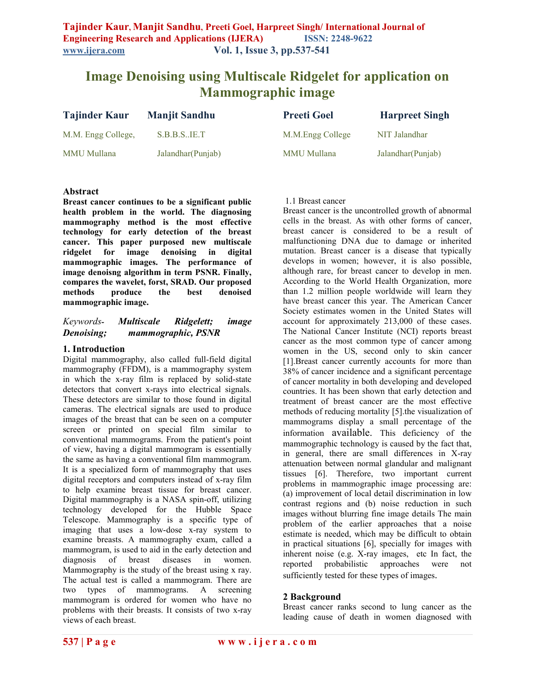# **Image Denoising using Multiscale Ridgelet for application on Mammographic image**

| <b>Tajinder Kaur</b> | <b>Manjit Sandhu</b> | <b>Preeti Goel</b> | <b>Harpreet Singh</b> |
|----------------------|----------------------|--------------------|-----------------------|
| M.M. Engg College,   | S.B.B.S. I E.T       | M.M.Engg College   | NIT Jalandhar         |
| <b>MMU</b> Mullana   | Jalandhar (Punjab)   | MMU Mullana        | Jalandhar (Punjab)    |

### **Abstract**

**Breast cancer continues to be a significant public health problem in the world. The diagnosing mammography method is the most effective technology for early detection of the breast cancer. This paper purposed new multiscale ridgelet for image denoising in digital mammographic images. The performance of image denoisng algorithm in term PSNR. Finally, compares the wavelet, forst, SRAD. Our proposed methods produce the best denoised mammographic image.** 

## *Keywords- Multiscale Ridgelett; image Denoising; mammographic, PSNR*

### **1. Introduction**

Digital mammography, also called full-field digital mammography (FFDM), is a mammography system in which the x-ray film is replaced by solid-state detectors that convert x-rays into electrical signals. These detectors are similar to those found in digital cameras. The electrical signals are used to produce images of the breast that can be seen on a computer screen or printed on special film similar to conventional mammograms. From the patient's point of view, having a digital mammogram is essentially the same as having a conventional film mammogram. It is a specialized form of [mammography](http://en.wikipedia.org/wiki/Mammography) that uses digital receptors and computers instead of [x-ray](http://en.wikipedia.org/wiki/X-ray) film to help examine [breast](http://en.wikipedia.org/wiki/Breast) tissue for [breast cancer.](http://en.wikipedia.org/wiki/Breast_cancer) Digital mammography is a [NASA spin-off,](http://en.wikipedia.org/wiki/NASA_spin-off) utilizing technology developed for the [Hubble Space](http://en.wikipedia.org/wiki/Hubble_Space_Telescope) [Telescope.](http://en.wikipedia.org/wiki/Hubble_Space_Telescope) Mammography is a specific type of imaging that uses a low-dose [x-ray](http://www.radiologyinfo.org/en/glossary/glossary1.cfm?gid=3) system to examine breasts. A mammography exam, called a mammogram, is used to aid in the early detection and diagnosis of breast diseases in women. Mammography is the study of the breast using x ray. The actual test is called a mammogram. There are two types of mammograms. A screening mammogram is ordered for women who have no problems with their breasts. It consists of two x-ray views of each breast.

#### 1.1 Breast cancer

Breast cancer is the uncontrolled growth of abnormal cells in the breast. As with other forms of cancer, breast cancer is considered to be a result of malfunctioning DNA due to damage or inherited mutation. Breast cancer is a disease that typically develops in women; however, it is also possible, although rare, for breast cancer to develop in men. According to the World Health Organization, more than 1.2 million people worldwide will learn they have breast cancer this year. The American Cancer Society estimates women in the United States will account for approximately 213,000 of these cases. The National Cancer Institute (NCI) reports breast cancer as the most common type of cancer among women in the US, second only to skin cancer [1].Breast cancer currently accounts for more than 38% of cancer incidence and a significant percentage of cancer mortality in both developing and developed countries. It has been shown that early detection and treatment of breast cancer are the most effective methods of reducing mortality [5].the visualization of mammograms display a small percentage of the information available. This deficiency of the mammographic technology is caused by the fact that, in general, there are small differences in X-ray attenuation between normal glandular and malignant tissues [6]. Therefore, two important current problems in mammographic image processing are: (a) improvement of local detail discrimination in low contrast regions and (b) noise reduction in such images without blurring fine image details The main problem of the earlier approaches that a noise estimate is needed, which may be difficult to obtain in practical situations [6], specially for images with inherent noise (e.g. X-ray images, etc In fact, the reported probabilistic approaches were not sufficiently tested for these types of images.

#### **2 Background**

Breast cancer ranks second to lung cancer as the leading cause of death in women diagnosed with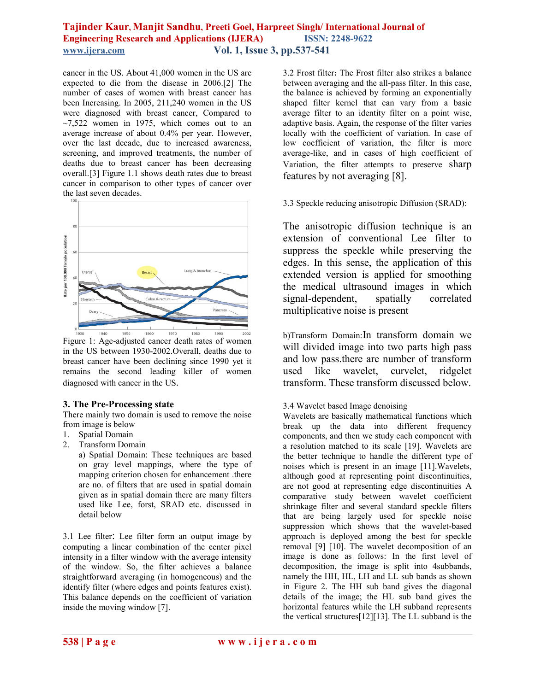# **Tajinder Kaur, Manjit Sandhu, Preeti Goel, Harpreet Singh/ International Journal of Engineering Research and Applications (IJERA) www.ijera.com Vol. 1, Issue 3, pp.537-541**

cancer in the US. About 41,000 women in the US are expected to die from the disease in 2006.[2] The number of cases of women with breast cancer has been Increasing. In 2005, 211,240 women in the US were diagnosed with breast cancer, Compared to  $\sim$ 7,522 women in 1975, which comes out to an average increase of about 0.4% per year. However, over the last decade, due to increased awareness, screening, and improved treatments, the number of deaths due to breast cancer has been decreasing overall.[3] Figure 1.1 shows death rates due to breast cancer in comparison to other types of cancer over the last seven decades.



Figure 1: Age-adjusted cancer death rates of women in the US between 1930-2002.Overall, deaths due to breast cancer have been declining since 1990 yet it remains the second leading killer of women diagnosed with cancer in the US.

# **3. The Pre-Processing state**

There mainly two domain is used to remove the noise from image is below

- 1. Spatial Domain
- 2. Transform Domain
	- a) Spatial Domain: These techniques are based on gray level mappings, where the type of mapping criterion chosen for enhancement .there are no. of filters that are used in spatial domain given as in spatial domain there are many filters used like Lee, forst, SRAD etc. discussed in detail below

3.1 Lee filter: Lee filter form an output image by computing a linear combination of the center pixel intensity in a filter window with the average intensity of the window. So, the filter achieves a balance straightforward averaging (in homogeneous) and the identify filter (where edges and points features exist). This balance depends on the coefficient of variation inside the moving window [7].

3.2 Frost filter**:** The Frost filter also strikes a balance between averaging and the all-pass filter. In this case, the balance is achieved by forming an exponentially shaped filter kernel that can vary from a basic average filter to an identity filter on a point wise, adaptive basis. Again, the response of the filter varies locally with the coefficient of variation. In case of low coefficient of variation, the filter is more average-like, and in cases of high coefficient of Variation, the filter attempts to preserve sharp features by not averaging [8].

3.3 Speckle reducing anisotropic Diffusion (SRAD):

The anisotropic diffusion technique is an extension of conventional Lee filter to suppress the speckle while preserving the edges. In this sense, the application of this extended version is applied for smoothing the medical ultrasound images in which signal-dependent, spatially correlated multiplicative noise is present

b)Transform Domain:In transform domain we will divided image into two parts high pass and low pass.there are number of transform used like wavelet, curvelet, ridgelet transform. These transform discussed below.

# 3.4 Wavelet based Image denoising

Wavelets are basically mathematical functions which break up the data into different frequency components, and then we study each component with a resolution matched to its scale [19]. Wavelets are the better technique to handle the different type of noises which is present in an image [11].Wavelets, although good at representing point discontinuities, are not good at representing edge discontinuities A comparative study between wavelet coefficient shrinkage filter and several standard speckle filters that are being largely used for speckle noise suppression which shows that the wavelet-based approach is deployed among the best for speckle removal [9] [10]. The wavelet decomposition of an image is done as follows: In the first level of decomposition, the image is split into 4subbands, namely the HH, HL, LH and LL sub bands as shown in Figure 2. The HH sub band gives the diagonal details of the image; the HL sub band gives the horizontal features while the LH subband represents the vertical structures[12][13]. The LL subband is the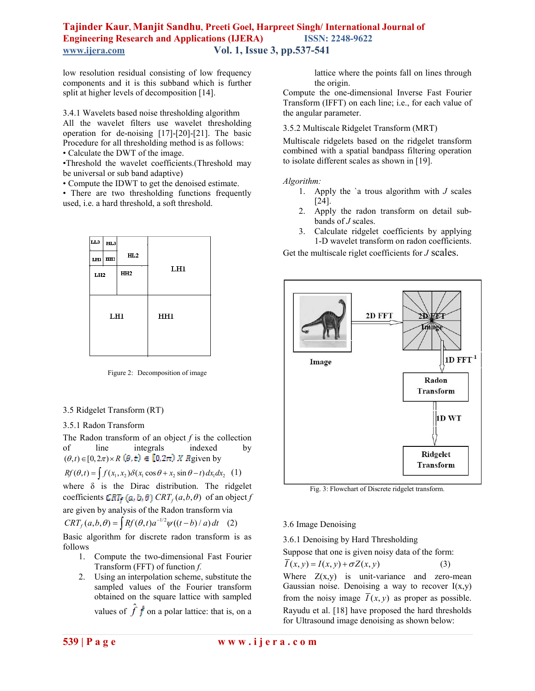# **Tajinder Kaur, Manjit Sandhu, Preeti Goel, Harpreet Singh/ International Journal of Engineering Research and Applications (IJERA) ISSN: 2248-9622 www.ijera.com Vol. 1, Issue 3, pp.537-541**

low resolution residual consisting of low frequency components and it is this subband which is further split at higher levels of decomposition [14].

3.4.1 Wavelets based noise thresholding algorithm All the wavelet filters use wavelet thresholding operation for de-noising [17]-[20]-[21]. The basic Procedure for all thresholding method is as follows:

• Calculate the DWT of the image.

•Threshold the wavelet coefficients.(Threshold may be universal or sub band adaptive)

• Compute the IDWT to get the denoised estimate.

• There are two thresholding functions frequently used, i.e. a hard threshold, a soft threshold.

| LLЗ | шз          |                 |     |
|-----|-------------|-----------------|-----|
|     | $LH3$ $HH3$ | HL2             |     |
| LH2 |             | HH <sub>2</sub> | LH1 |
|     |             |                 |     |
|     |             |                 |     |
| LH1 |             |                 | HH1 |
|     |             |                 |     |
|     |             |                 |     |

Figure 2: Decomposition of image

### 3.5 Ridgelet Transform (RT)

#### 3.5.1 Radon Transform

The Radon transform of an object *f* is the collection of line integrals indexed by  $(\theta, t) \in [0, 2\pi) \times R$   $(\theta, t) \in [0, 2\pi)$  *X* Rgiven by

$$
Rf(\theta, t) = \int f(x_1, x_2) \delta(x_1 \cos \theta + x_2 \sin \theta - t) dx_1 dx_2 \tag{1}
$$

where  $\delta$  is the Dirac distribution. The ridgelet coefficients  $CRT_f(a, b, \theta)$  *CRT<sub>f</sub>*  $(a, b, \theta)$  of an object *f* are given by analysis of the Radon transform via  $CRT_f(a, b, \theta) = \int Rf(\theta, t) a^{-1/2} \psi((t - b)/a) dt$  (2)

Basic algorithm for discrete radon transform is as follows

- 1. Compute the two-dimensional Fast Fourier Transform (FFT) of function *f.*
- 2. Using an interpolation scheme, substitute the sampled values of the Fourier transform obtained on the square lattice with sampled values of  $\hat{f}$   $\hat{f}$  on a polar lattice: that is, on a

lattice where the points fall on lines through the origin.

Compute the one-dimensional Inverse Fast Fourier Transform (IFFT) on each line; i.e., for each value of the angular parameter.

#### 3.5.2 Multiscale Ridgelet Transform (MRT)

Multiscale ridgelets based on the ridgelet transform combined with a spatial bandpass filtering operation to isolate different scales as shown in [19].

#### *Algorithm:*

- 1. Apply the `a trous algorithm with *J* scales [24].
- 2. Apply the radon transform on detail subbands of *J* scales.
- 3. Calculate ridgelet coefficients by applying 1-D wavelet transform on radon coefficients.

Get the multiscale riglet coefficients for *J* scales.



Fig. 3: Flowchart of Discrete ridgelet transform.

#### 3.6 Image Denoising

3.6.1 Denoising by Hard Thresholding

Suppose that one is given noisy data of the form:

 $\overline{I}(x, y) = I(x, y) + \sigma Z(x, y)$  (3) Where  $Z(x,y)$  is unit-variance and zero-mean Gaussian noise. Denoising a way to recover  $I(x,y)$ from the noisy image  $\overline{I}(x, y)$  as proper as possible. Rayudu et al. [18] have proposed the hard thresholds for Ultrasound image denoising as shown below: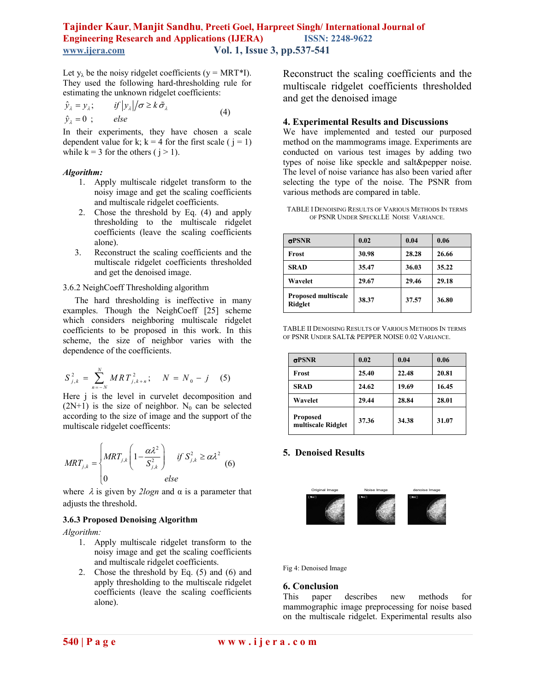# **Tajinder Kaur, Manjit Sandhu, Preeti Goel, Harpreet Singh/ International Journal of Engineering Research and Applications (IJERA) ISSN: 2248-9622 www.ijera.com Vol. 1, Issue 3, pp.537-541**

Let  $y_{\lambda}$  be the noisy ridgelet coefficients (y = MRT\*I). They used the following hard-thresholding rule for estimating the unknown ridgelet coefficients:

$$
\hat{y}_{\lambda} = y_{\lambda}; \qquad \text{if } |y_{\lambda}|/\sigma \ge k \tilde{\sigma}_{\lambda} \n\hat{y}_{\lambda} = 0 ; \qquad \text{else}
$$
\n(4)

In their experiments, they have chosen a scale dependent value for k;  $k = 4$  for the first scale ( $j = 1$ ) while  $k = 3$  for the others ( $j > 1$ ).

#### *Algorithm:*

- 1. Apply multiscale ridgelet transform to the noisy image and get the scaling coefficients and multiscale ridgelet coefficients.
- 2. Chose the threshold by Eq. (4) and apply thresholding to the multiscale ridgelet coefficients (leave the scaling coefficients alone).
- 3. Reconstruct the scaling coefficients and the multiscale ridgelet coefficients thresholded and get the denoised image.

3.6.2 NeighCoeff Thresholding algorithm

The hard thresholding is ineffective in many examples. Though the NeighCoeff [25] scheme which considers neighboring multiscale ridgelet coefficients to be proposed in this work. In this scheme, the size of neighbor varies with the dependence of the coefficients.

$$
S_{j,k}^{2} = \sum_{n=-N}^{N} MRT_{j,k+n}^{2}; \quad N = N_{0} - j \quad (5)
$$

Here j is the level in curvelet decomposition and  $(2N+1)$  is the size of neighbor. N<sub>0</sub> can be selected according to the size of image and the support of the multiscale ridgelet coefficents:

$$
MRT_{j,k} = \begin{cases} MRT_{j,k} \left(1 - \frac{\alpha \lambda^2}{S_{j,k}^2}\right) & \text{if } S_{j,k}^2 \ge \alpha \lambda^2 \\ 0 & \text{else} \end{cases} (6)
$$

where  $\lambda$  is given by *2logn* and  $\alpha$  is a parameter that adjusts the threshold.

#### **3.6.3 Proposed Denoising Algorithm**

*Algorithm:* 

- 1. Apply multiscale ridgelet transform to the noisy image and get the scaling coefficients and multiscale ridgelet coefficients.
- 2. Chose the threshold by Eq. (5) and (6) and apply thresholding to the multiscale ridgelet coefficients (leave the scaling coefficients alone).

Reconstruct the scaling coefficients and the multiscale ridgelet coefficients thresholded and get the denoised image

#### **4. Experimental Results and Discussions**

We have implemented and tested our purposed method on the mammograms image. Experiments are conducted on various test images by adding two types of noise like speckle and salt&pepper noise. The level of noise variance has also been varied after selecting the type of the noise. The PSNR from various methods are compared in table.

TABLE I DENOISING RESULTS OF VARIOUS METHODS IN TERMS OF PSNR UNDER SPECKLLE NOISE VARIANCE.

| $\sigma$ PSNR                         | 0.02  | 0.04  | 0.06  |
|---------------------------------------|-------|-------|-------|
| Frost                                 | 30.98 | 28.28 | 26.66 |
| <b>SRAD</b>                           | 35.47 | 36.03 | 35.22 |
| Wavelet                               | 29.67 | 29.46 | 29.18 |
| <b>Proposed multiscale</b><br>Ridglet | 38.37 | 37.57 | 36.80 |

TABLE II DENOISING RESULTS OF VARIOUS METHODS IN TERMS OF PSNR UNDER SALT& PEPPER NOISE 0.02 VARIANCE.

| $\sigma$ PSNR                         | 0.02  | 0.04  | 0.06  |
|---------------------------------------|-------|-------|-------|
| Frost                                 | 25.40 | 22.48 | 20.81 |
| <b>SRAD</b>                           | 24.62 | 19.69 | 16.45 |
| Wavelet                               | 29.44 | 28.84 | 28.01 |
| <b>Proposed</b><br>multiscale Ridglet | 37.36 | 34.38 | 31.07 |

### **5. Denoised Results**



Fig 4: Denoised Image

#### **6. Conclusion**

This paper describes new methods for mammographic image preprocessing for noise based on the multiscale ridgelet. Experimental results also